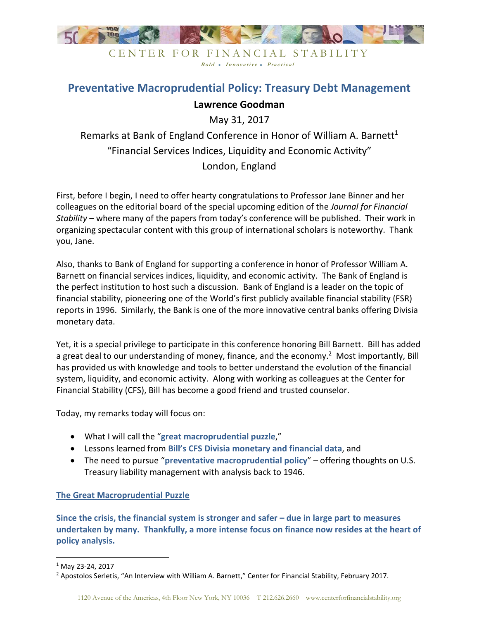

# **Preventative Macroprudential Policy: Treasury Debt Management Lawrence Goodman**

May 31, 2017

Remarks at Bank of England Conference in Honor of William A. Barnett<sup>1</sup> "Financial Services Indices, Liquidity and Economic Activity" London, England

First, before I begin, I need to offer hearty congratulations to Professor Jane Binner and her colleagues on the editorial board of the special upcoming edition of the *Journal for Financial Stability* – where many of the papers from today's conference will be published. Their work in organizing spectacular content with this group of international scholars is noteworthy. Thank you, Jane.

Also, thanks to Bank of England for supporting a conference in honor of Professor William A. Barnett on financial services indices, liquidity, and economic activity. The Bank of England is the perfect institution to host such a discussion. Bank of England is a leader on the topic of financial stability, pioneering one of the World's first publicly available financial stability (FSR) reports in 1996. Similarly, the Bank is one of the more innovative central banks offering Divisia monetary data.

Yet, it is a special privilege to participate in this conference honoring Bill Barnett. Bill has added a great deal to our understanding of money, finance, and the economy.<sup>2</sup> Most importantly, Bill has provided us with knowledge and tools to better understand the evolution of the financial system, liquidity, and economic activity. Along with working as colleagues at the Center for Financial Stability (CFS), Bill has become a good friend and trusted counselor.

Today, my remarks today will focus on:

- What I will call the "**great macroprudential puzzle**,"
- Lessons learned from **Bill's CFS Divisia monetary and financial data**, and
- The need to pursue "**preventative macroprudential policy**" offering thoughts on U.S. Treasury liability management with analysis back to 1946.

## **The Great Macroprudential Puzzle**

**Since the crisis, the financial system is stronger and safer – due in large part to measures undertaken by many. Thankfully, a more intense focus on finance now resides at the heart of policy analysis.** 

<sup>1</sup> May 23-24, 2017

<sup>&</sup>lt;sup>2</sup> Apostolos Serletis, "An Interview with William A. Barnett," Center for Financial Stability, February 2017.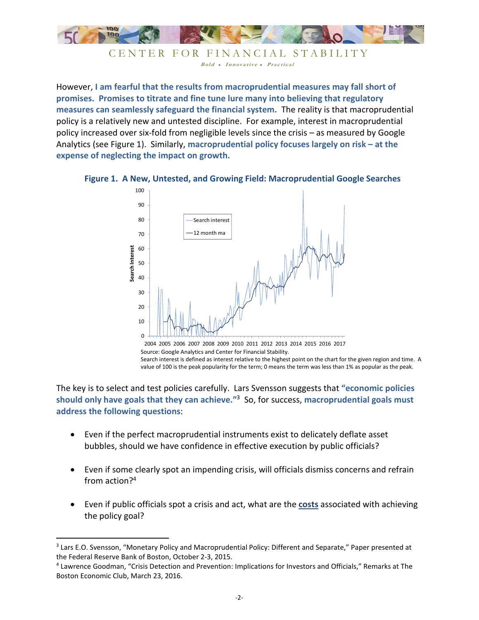

CENTER FOR FINANCIAL STABILITY Bold • Innovative • Practical

However, **I am fearful that the results from macroprudential measures may fall short of promises. Promises to titrate and fine tune lure many into believing that regulatory measures can seamlessly safeguard the financial system.** The reality is that macroprudential policy is a relatively new and untested discipline. For example, interest in macroprudential policy increased over six-fold from negligible levels since the crisis – as measured by Google Analytics (see Figure 1). Similarly, **macroprudential policy focuses largely on risk – at the expense of neglecting the impact on growth.** 





Source: Google Analytics and Center for Financial Stability. Search interest is defined as interest relative to the highest point on the chart for the given region and time. A value of 100 is the peak popularity for the term; 0 means the term was less than 1% as popular as the peak.

The key is to select and test policies carefully. Lars Svensson suggests that **"economic policies should only have goals that they can achieve."**<sup>3</sup> So, for success, **macroprudential goals must address the following questions**:

- Even if the perfect macroprudential instruments exist to delicately deflate asset bubbles, should we have confidence in effective execution by public officials?
- Even if some clearly spot an impending crisis, will officials dismiss concerns and refrain from action?<sup>4</sup>
- Even if public officials spot a crisis and act, what are the **costs** associated with achieving the policy goal?

-

<sup>&</sup>lt;sup>3</sup> Lars E.O. Svensson, "Monetary Policy and Macroprudential Policy: Different and Separate," Paper presented at the Federal Reserve Bank of Boston, October 2-3, 2015.

<sup>4</sup> Lawrence Goodman, "Crisis Detection and Prevention: Implications for Investors and Officials," Remarks at The Boston Economic Club, March 23, 2016.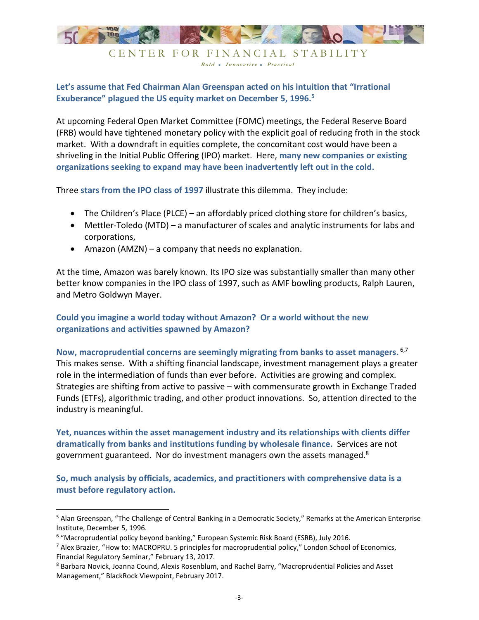

Bold • Innovative • Practical

## **Let's assume that Fed Chairman Alan Greenspan acted on his intuition that "Irrational Exuberance" plagued the US equity market on December 5, 1996.<sup>5</sup>**

At upcoming Federal Open Market Committee (FOMC) meetings, the Federal Reserve Board (FRB) would have tightened monetary policy with the explicit goal of reducing froth in the stock market. With a downdraft in equities complete, the concomitant cost would have been a shriveling in the Initial Public Offering (IPO) market. Here, **many new companies or existing organizations seeking to expand may have been inadvertently left out in the cold.**

Three **stars from the IPO class of 1997** illustrate this dilemma. They include:

- The Children's Place (PLCE) an affordably priced clothing store for children's basics,
- Mettler-Toledo (MTD) a manufacturer of scales and analytic instruments for labs and corporations,
- Amazon (AMZN) a company that needs no explanation.

At the time, Amazon was barely known. Its IPO size was substantially smaller than many other better know companies in the IPO class of 1997, such as AMF bowling products, Ralph Lauren, and Metro Goldwyn Mayer.

## **Could you imagine a world today without Amazon? Or a world without the new organizations and activities spawned by Amazon?**

## **Now, macroprudential concerns are seemingly migrating from banks to asset managers.** 6,7 This makes sense. With a shifting financial landscape, investment management plays a greater role in the intermediation of funds than ever before. Activities are growing and complex. Strategies are shifting from active to passive – with commensurate growth in Exchange Traded Funds (ETFs), algorithmic trading, and other product innovations. So, attention directed to the industry is meaningful.

**Yet, nuances within the asset management industry and its relationships with clients differ dramatically from banks and institutions funding by wholesale finance.** Services are not government guaranteed. Nor do investment managers own the assets managed. $8$ 

**So, much analysis by officials, academics, and practitioners with comprehensive data is a must before regulatory action.** 

<sup>&</sup>lt;sup>5</sup> Alan Greenspan, "The Challenge of Central Banking in a Democratic Society," Remarks at the American Enterprise Institute, December 5, 1996.

<sup>&</sup>lt;sup>6</sup> "Macroprudential policy beyond banking," European Systemic Risk Board (ESRB), July 2016.

<sup>&</sup>lt;sup>7</sup> Alex Brazier, "How to: MACROPRU. 5 principles for macroprudential policy," London School of Economics, Financial Regulatory Seminar," February 13, 2017.

<sup>&</sup>lt;sup>8</sup> Barbara Novick, Joanna Cound, Alexis Rosenblum, and Rachel Barry, "Macroprudential Policies and Asset Management," BlackRock Viewpoint, February 2017.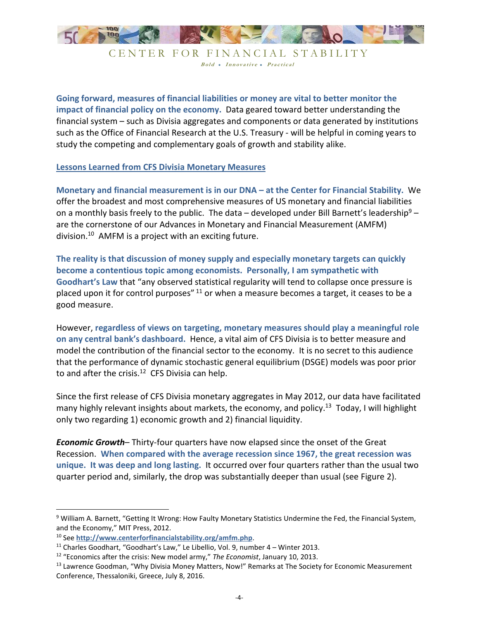

**Going forward, measures of financial liabilities or money are vital to better monitor the impact of financial policy on the economy.** Data geared toward better understanding the financial system – such as Divisia aggregates and components or data generated by institutions such as the Office of Financial Research at the U.S. Treasury - will be helpful in coming years to study the competing and complementary goals of growth and stability alike.

## **Lessons Learned from CFS Divisia Monetary Measures**

**Monetary and financial measurement is in our DNA – at the Center for Financial Stability.** We offer the broadest and most comprehensive measures of US monetary and financial liabilities on a monthly basis freely to the public. The data – developed under Bill Barnett's leadership<sup>9</sup> – are the cornerstone of our Advances in Monetary and Financial Measurement (AMFM) division.<sup>10</sup> AMFM is a project with an exciting future.

**The reality is that discussion of money supply and especially monetary targets can quickly become a contentious topic among economists. Personally, I am sympathetic with Goodhart's Law** that "any observed statistical regularity will tend to collapse once pressure is placed upon it for control purposes" <sup>11</sup> or when a measure becomes a target, it ceases to be a good measure.

However, **regardless of views on targeting, monetary measures should play a meaningful role on any central bank's dashboard.** Hence, a vital aim of CFS Divisia is to better measure and model the contribution of the financial sector to the economy. It is no secret to this audience that the performance of dynamic stochastic general equilibrium (DSGE) models was poor prior to and after the crisis. $12$  CFS Divisia can help.

Since the first release of CFS Divisia monetary aggregates in May 2012, our data have facilitated many highly relevant insights about markets, the economy, and policy.<sup>13</sup> Today, I will highlight only two regarding 1) economic growth and 2) financial liquidity.

*Economic Growth*– Thirty-four quarters have now elapsed since the onset of the Great Recession. **When compared with the average recession since 1967, the great recession was unique. It was deep and long lasting.** It occurred over four quarters rather than the usual two quarter period and, similarly, the drop was substantially deeper than usual (see Figure 2).

<sup>&</sup>lt;sup>9</sup> William A. Barnett, "Getting It Wrong: How Faulty Monetary Statistics Undermine the Fed, the Financial System, and the Economy," MIT Press, 2012.

<sup>10</sup> See **http://www.centerforfinancialstability.org/amfm.php**.

<sup>&</sup>lt;sup>11</sup> Charles Goodhart, "Goodhart's Law," Le Libellio, Vol. 9, number 4 – Winter 2013.

<sup>12</sup> "Economics after the crisis: New model army," *The Economist*, January 10, 2013.

<sup>13</sup> Lawrence Goodman, "Why Divisia Money Matters, Now!" Remarks at The Society for Economic Measurement Conference, Thessaloniki, Greece, July 8, 2016.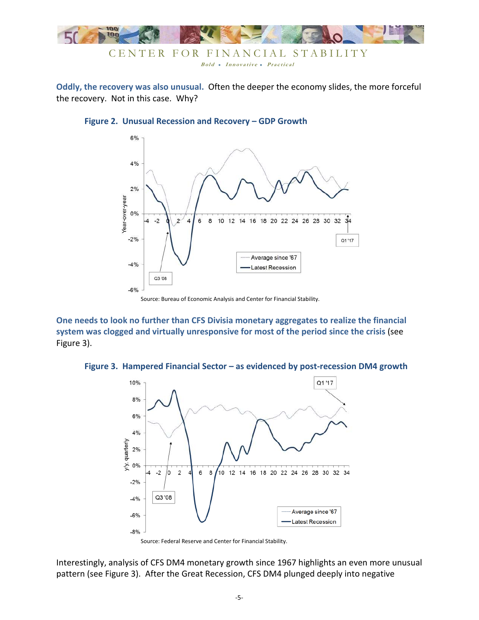

**Oddly, the recovery was also unusual.** Often the deeper the economy slides, the more forceful the recovery. Not in this case. Why?



#### **Figure 2. Unusual Recession and Recovery – GDP Growth**

Source: Bureau of Economic Analysis and Center for Financial Stability.

**One needs to look no further than CFS Divisia monetary aggregates to realize the financial system was clogged and virtually unresponsive for most of the period since the crisis** (see Figure 3).

#### **Figure 3. Hampered Financial Sector – as evidenced by post-recession DM4 growth**



Source: Federal Reserve and Center for Financial Stability.

Interestingly, analysis of CFS DM4 monetary growth since 1967 highlights an even more unusual pattern (see Figure 3). After the Great Recession, CFS DM4 plunged deeply into negative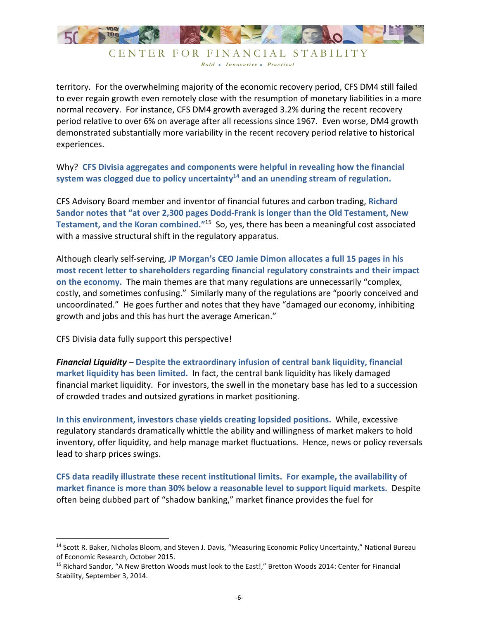

territory. For the overwhelming majority of the economic recovery period, CFS DM4 still failed to ever regain growth even remotely close with the resumption of monetary liabilities in a more normal recovery. For instance, CFS DM4 growth averaged 3.2% during the recent recovery period relative to over 6% on average after all recessions since 1967. Even worse, DM4 growth demonstrated substantially more variability in the recent recovery period relative to historical experiences.

Why? **CFS Divisia aggregates and components were helpful in revealing how the financial system was clogged due to policy uncertainty<sup>14</sup> and an unending stream of regulation.**

CFS Advisory Board member and inventor of financial futures and carbon trading, **Richard Sandor notes that "at over 2,300 pages Dodd-Frank is longer than the Old Testament, New Testament, and the Koran combined."**<sup>15</sup> So, yes, there has been a meaningful cost associated with a massive structural shift in the regulatory apparatus.

Although clearly self-serving, **JP Morgan's CEO Jamie Dimon allocates a full 15 pages in his most recent letter to shareholders regarding financial regulatory constraints and their impact on the economy.** The main themes are that many regulations are unnecessarily "complex, costly, and sometimes confusing." Similarly many of the regulations are "poorly conceived and uncoordinated." He goes further and notes that they have "damaged our economy, inhibiting growth and jobs and this has hurt the average American."

CFS Divisia data fully support this perspective!

-

*Financial Liquidity* – **Despite the extraordinary infusion of central bank liquidity, financial market liquidity has been limited.** In fact, the central bank liquidity has likely damaged financial market liquidity.For investors, the swell in the monetary base has led to a succession of crowded trades and outsized gyrations in market positioning.

**In this environment, investors chase yields creating lopsided positions.** While, excessive regulatory standards dramatically whittle the ability and willingness of market makers to hold inventory, offer liquidity, and help manage market fluctuations. Hence, news or policy reversals lead to sharp prices swings.

**CFS data readily illustrate these recent institutional limits. For example, the availability of market finance is more than 30% below a reasonable level to support liquid markets.** Despite often being dubbed part of "shadow banking," market finance provides the fuel for

<sup>&</sup>lt;sup>14</sup> Scott R. Baker, Nicholas Bloom, and Steven J. Davis, "Measuring Economic Policy Uncertainty," National Bureau of Economic Research, October 2015.

<sup>15</sup> Richard Sandor, "A New Bretton Woods must look to the East!," Bretton Woods 2014: Center for Financial Stability, September 3, 2014.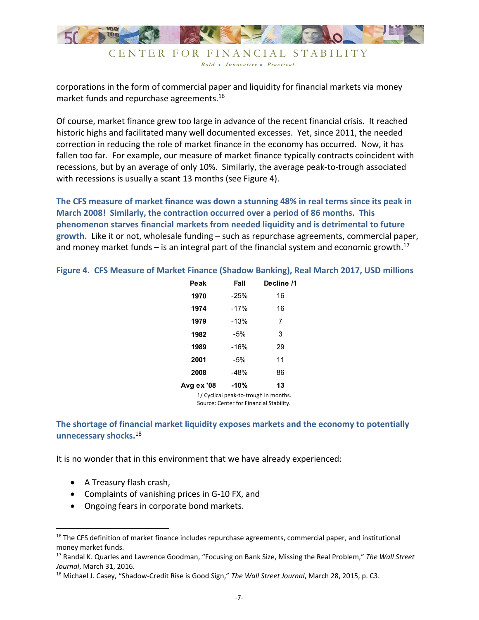

Bold • Innovative • Practical

corporations in the form of commercial paper and liquidity for financial markets via money market funds and repurchase agreements.<sup>16</sup>

Of course, market finance grew too large in advance of the recent financial crisis. It reached historic highs and facilitated many well documented excesses. Yet, since 2011, the needed correction in reducing the role of market finance in the economy has occurred. Now, it has fallen too far. For example, our measure of market finance typically contracts coincident with recessions, but by an average of only 10%. Similarly, the average peak-to-trough associated with recessions is usually a scant 13 months (see Figure 4).

**The CFS measure of market finance was down a stunning 48% in real terms since its peak in March 2008! Similarly, the contraction occurred over a period of 86 months. This phenomenon starves financial markets from needed liquidity and is detrimental to future growth.** Like it or not, wholesale funding – such as repurchase agreements, commercial paper, and money market funds  $-$  is an integral part of the financial system and economic growth.<sup>17</sup>

| Peak       | Fall   | Decline /1 |
|------------|--------|------------|
| 1970       | $-25%$ | 16         |
| 1974       | $-17%$ | 16         |
| 1979       | $-13%$ | 7          |
| 1982       | $-5%$  | 3          |
| 1989       | $-16%$ | 29         |
| 2001       | $-5%$  | 11         |
| 2008       | $-48%$ | 86         |
| Avg ex '08 | $-10%$ | 13         |
|            |        |            |

**Figure 4. CFS Measure of Market Finance (Shadow Banking), Real March 2017, USD millions** 

1/ Cyclical peak-to-trough in months. Source: Center for Financial Stability.

## **The shortage of financial market liquidity exposes markets and the economy to potentially unnecessary shocks.**<sup>18</sup>

It is no wonder that in this environment that we have already experienced:

• A Treasury flash crash,

- Complaints of vanishing prices in G-10 FX, and
- Ongoing fears in corporate bond markets.

<sup>&</sup>lt;sup>16</sup> The CFS definition of market finance includes repurchase agreements, commercial paper, and institutional money market funds.

<sup>17</sup> Randal K. Quarles and Lawrence Goodman, "Focusing on Bank Size, Missing the Real Problem," *The Wall Street Journal*, March 31, 2016.

<sup>18</sup> Michael J. Casey, "Shadow-Credit Rise is Good Sign," *The Wall Street Journal*, March 28, 2015, p. C3.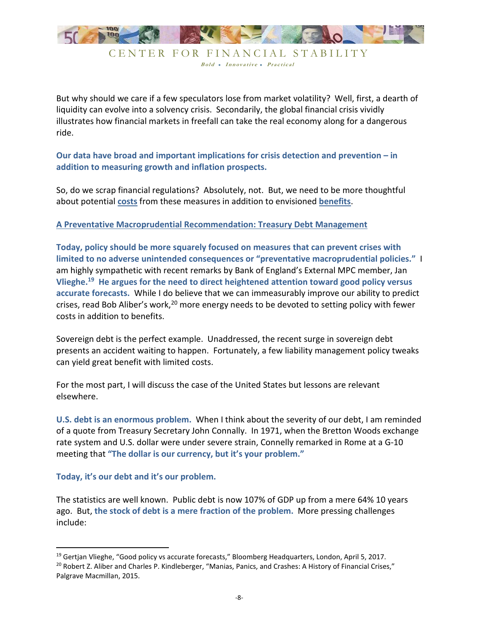

Bold • Innovative • Practical

But why should we care if a few speculators lose from market volatility? Well, first, a dearth of liquidity can evolve into a solvency crisis. Secondarily, the global financial crisis vividly illustrates how financial markets in freefall can take the real economy along for a dangerous ride.

**Our data have broad and important implications for crisis detection and prevention – in addition to measuring growth and inflation prospects.** 

So, do we scrap financial regulations? Absolutely, not. But, we need to be more thoughtful about potential **costs** from these measures in addition to envisioned **benefits**.

### **A Preventative Macroprudential Recommendation: Treasury Debt Management**

**Today, policy should be more squarely focused on measures that can prevent crises with limited to no adverse unintended consequences or "preventative macroprudential policies."** I am highly sympathetic with recent remarks by Bank of England's External MPC member, Jan **Vlieghe.<sup>19</sup> He argues for the need to direct heightened attention toward good policy versus accurate forecasts.** While I do believe that we can immeasurably improve our ability to predict crises, read Bob Aliber's work,<sup>20</sup> more energy needs to be devoted to setting policy with fewer costs in addition to benefits.

Sovereign debt is the perfect example. Unaddressed, the recent surge in sovereign debt presents an accident waiting to happen. Fortunately, a few liability management policy tweaks can yield great benefit with limited costs.

For the most part, I will discuss the case of the United States but lessons are relevant elsewhere.

**U.S. debt is an enormous problem.** When I think about the severity of our debt, I am reminded of a quote from Treasury Secretary John Connally. In 1971, when the Bretton Woods exchange rate system and U.S. dollar were under severe strain, Connelly remarked in Rome at a G-10 meeting that **"The dollar is our currency, but it's your problem."**

#### **Today, it's our debt and it's our problem.**

<u>.</u>

The statistics are well known. Public debt is now 107% of GDP up from a mere 64% 10 years ago. But, **the stock of debt is a mere fraction of the problem.** More pressing challenges include:

<sup>&</sup>lt;sup>19</sup> Gertjan Vlieghe, "Good policy vs accurate forecasts," Bloomberg Headquarters, London, April 5, 2017. <sup>20</sup> Robert Z. Aliber and Charles P. Kindleberger, "Manias, Panics, and Crashes: A History of Financial Crises," Palgrave Macmillan, 2015.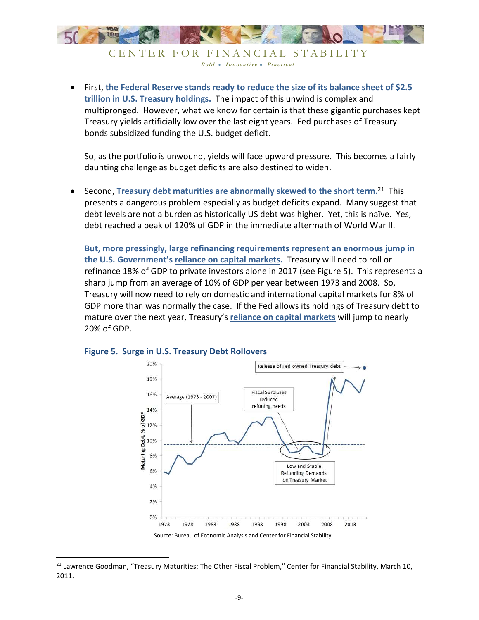

CENTER FOR FINANCIAL STABILITY Bold • Innovative • Practical

• First, **the Federal Reserve stands ready to reduce the size of its balance sheet of \$2.5 trillion in U.S. Treasury holdings.** The impact of this unwind is complex and multipronged. However, what we know for certain is that these gigantic purchases kept Treasury yields artificially low over the last eight years. Fed purchases of Treasury bonds subsidized funding the U.S. budget deficit.

So, as the portfolio is unwound, yields will face upward pressure. This becomes a fairly daunting challenge as budget deficits are also destined to widen.

• Second, **Treasury debt maturities are abnormally skewed to the short term.**<sup>21</sup> This presents a dangerous problem especially as budget deficits expand. Many suggest that debt levels are not a burden as historically US debt was higher. Yet, this is naïve. Yes, debt reached a peak of 120% of GDP in the immediate aftermath of World War II.

**But, more pressingly, large refinancing requirements represent an enormous jump in the U.S. Government's reliance on capital markets.** Treasury will need to roll or refinance 18% of GDP to private investors alone in 2017 (see Figure 5). This represents a sharp jump from an average of 10% of GDP per year between 1973 and 2008. So, Treasury will now need to rely on domestic and international capital markets for 8% of GDP more than was normally the case. If the Fed allows its holdings of Treasury debt to mature over the next year, Treasury's **reliance on capital markets** will jump to nearly 20% of GDP.



#### **Figure 5. Surge in U.S. Treasury Debt Rollovers**

<sup>&</sup>lt;sup>21</sup> Lawrence Goodman, "Treasury Maturities: The Other Fiscal Problem," Center for Financial Stability, March 10, 2011.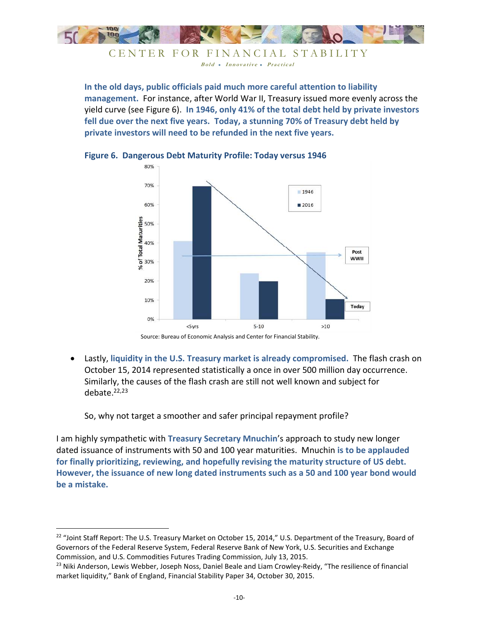

CENTER FOR FINANCIAL STABILITY Bold • Innovative • Practical

**In the old days, public officials paid much more careful attention to liability management.** For instance, after World War II, Treasury issued more evenly across the yield curve (see Figure 6). **In 1946, only 41% of the total debt held by private investors fell due over the next five years. Today, a stunning 70% of Treasury debt held by private investors will need to be refunded in the next five years.**



**Figure 6. Dangerous Debt Maturity Profile: Today versus 1946** 

• Lastly, **liquidity in the U.S. Treasury market is already compromised.** The flash crash on October 15, 2014 represented statistically a once in over 500 million day occurrence. Similarly, the causes of the flash crash are still not well known and subject for debate.22,23

So, why not target a smoother and safer principal repayment profile?

<u>.</u>

I am highly sympathetic with **Treasury Secretary Mnuchin**'s approach to study new longer dated issuance of instruments with 50 and 100 year maturities. Mnuchin **is to be applauded for finally prioritizing, reviewing, and hopefully revising the maturity structure of US debt. However, the issuance of new long dated instruments such as a 50 and 100 year bond would be a mistake.**

Source: Bureau of Economic Analysis and Center for Financial Stability.

<sup>&</sup>lt;sup>22</sup> "Joint Staff Report: The U.S. Treasury Market on October 15, 2014," U.S. Department of the Treasury, Board of Governors of the Federal Reserve System, Federal Reserve Bank of New York, U.S. Securities and Exchange Commission, and U.S. Commodities Futures Trading Commission, July 13, 2015.

<sup>&</sup>lt;sup>23</sup> Niki Anderson, Lewis Webber, Joseph Noss, Daniel Beale and Liam Crowley-Reidy, "The resilience of financial market liquidity," Bank of England, Financial Stability Paper 34, October 30, 2015.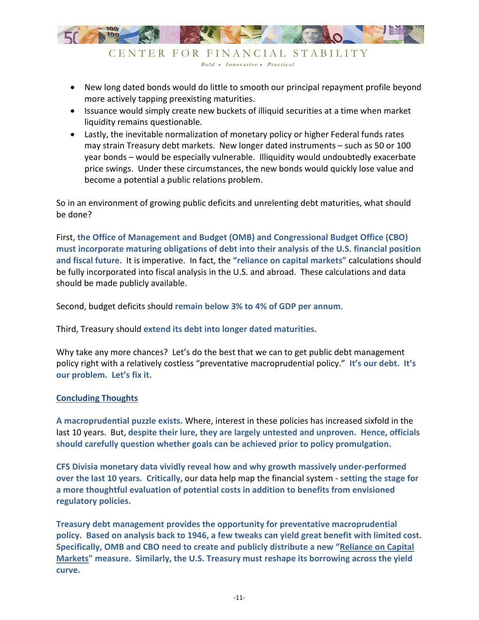

• New long dated bonds would do little to smooth our principal repayment profile beyond more actively tapping preexisting maturities.

Bold • Innovative • Practical

- Issuance would simply create new buckets of illiquid securities at a time when market liquidity remains questionable.
- Lastly, the inevitable normalization of monetary policy or higher Federal funds rates may strain Treasury debt markets. New longer dated instruments – such as 50 or 100 year bonds – would be especially vulnerable. Illiquidity would undoubtedly exacerbate price swings. Under these circumstances, the new bonds would quickly lose value and become a potential a public relations problem.

So in an environment of growing public deficits and unrelenting debt maturities, what should be done?

First, **the Office of Management and Budget (OMB) and Congressional Budget Office (CBO) must incorporate maturing obligations of debt into their analysis of the U.S. financial position and fiscal future.** It is imperative. In fact, the **"reliance on capital markets"** calculations should be fully incorporated into fiscal analysis in the U.S. and abroad. These calculations and data should be made publicly available.

Second, budget deficits should **remain below 3% to 4% of GDP per annum**.

Third, Treasury should **extend its debt into longer dated maturities.**

Why take any more chances? Let's do the best that we can to get public debt management policy right with a relatively costless "preventative macroprudential policy." **It's our debt. It's our problem. Let's fix it.** 

#### **Concluding Thoughts**

**A macroprudential puzzle exists.** Where, interest in these policies has increased sixfold in the last 10 years. But, **despite their lure, they are largely untested and unproven. Hence, officials should carefully question whether goals can be achieved prior to policy promulgation.**

**CFS Divisia monetary data vividly reveal how and why growth massively under-performed over the last 10 years. Critically,** our data help map the financial system - **setting the stage for a more thoughtful evaluation of potential costs in addition to benefits from envisioned regulatory policies.** 

**Treasury debt management provides the opportunity for preventative macroprudential policy. Based on analysis back to 1946, a few tweaks can yield great benefit with limited cost. Specifically, OMB and CBO need to create and publicly distribute a new "Reliance on Capital Markets" measure. Similarly, the U.S. Treasury must reshape its borrowing across the yield curve.**